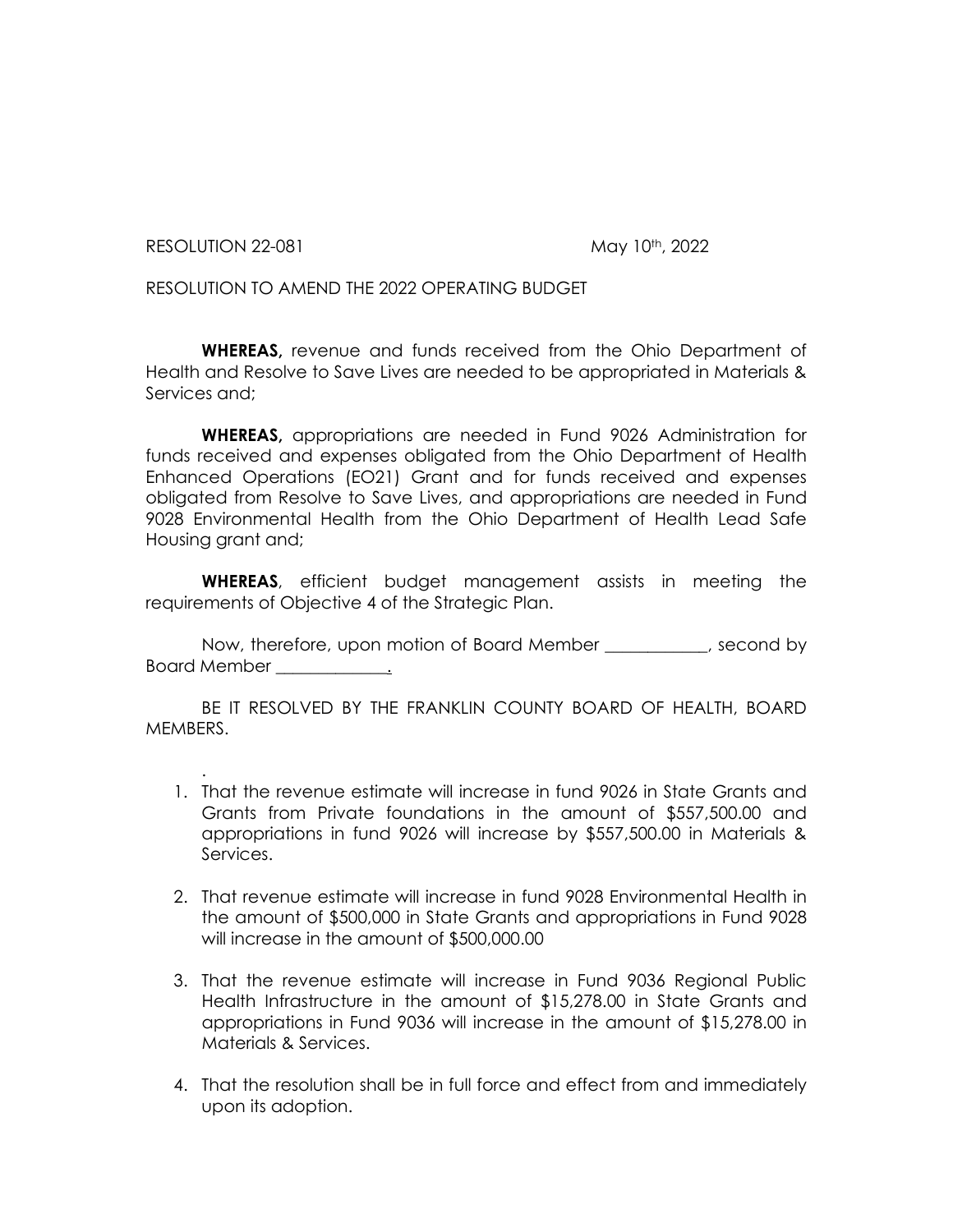RESOLUTION 22-081 May 10th, 2022

RESOLUTION TO AMEND THE 2022 OPERATING BUDGET

**WHEREAS,** revenue and funds received from the Ohio Department of Health and Resolve to Save Lives are needed to be appropriated in Materials & Services and;

**WHEREAS,** appropriations are needed in Fund 9026 Administration for funds received and expenses obligated from the Ohio Department of Health Enhanced Operations (EO21) Grant and for funds received and expenses obligated from Resolve to Save Lives, and appropriations are needed in Fund 9028 Environmental Health from the Ohio Department of Health Lead Safe Housing grant and;

**WHEREAS**, efficient budget management assists in meeting the requirements of Objective 4 of the Strategic Plan.

Now, therefore, upon motion of Board Member \_\_\_\_\_\_\_\_\_\_\_\_, second by Board Member the control of the set of the set of the set of the set of the set of the set of the set of the s

BE IT RESOLVED BY THE FRANKLIN COUNTY BOARD OF HEALTH, BOARD MEMBERS.

- . 1. That the revenue estimate will increase in fund 9026 in State Grants and Grants from Private foundations in the amount of \$557,500.00 and appropriations in fund 9026 will increase by \$557,500.00 in Materials & Services.
- 2. That revenue estimate will increase in fund 9028 Environmental Health in the amount of \$500,000 in State Grants and appropriations in Fund 9028 will increase in the amount of \$500,000.00
- 3. That the revenue estimate will increase in Fund 9036 Regional Public Health Infrastructure in the amount of \$15,278.00 in State Grants and appropriations in Fund 9036 will increase in the amount of \$15,278.00 in Materials & Services.
- 4. That the resolution shall be in full force and effect from and immediately upon its adoption.